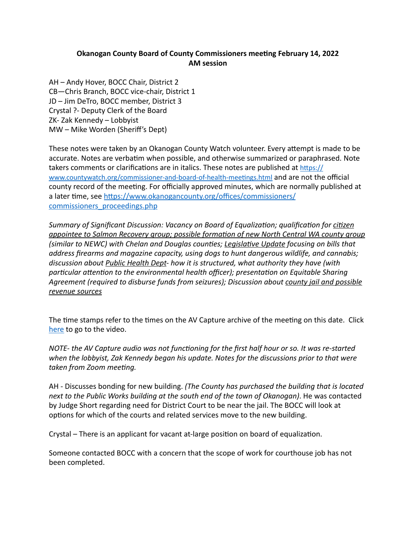## **Okanogan County Board of County Commissioners meeting February 14, 2022 AM session**

AH – Andy Hover, BOCC Chair, District 2 CB-Chris Branch, BOCC vice-chair, District 1 JD – Jim DeTro, BOCC member, District 3 Crystal ?- Deputy Clerk of the Board ZK-Zak Kennedy – Lobbyist MW – Mike Worden (Sheriff's Dept)

These notes were taken by an Okanogan County Watch volunteer. Every attempt is made to be accurate. Notes are verbatim when possible, and otherwise summarized or paraphrased. Note takers comments or clarifications are in italics. These notes are published at  $\frac{https://}{https://}$ www.countywatch.org/commissioner-and-board-of-health-meetings.html and are not the official county record of the meeting. For officially approved minutes, which are normally published at a later time, see https://www.okanogancounty.org/offices/commissioners/ [commissioners\\_proceedings.php](https://www.okanogancounty.org/offices/commissioners/commissioners_proceedings.php) 

*Summary of Significant Discussion: Vacancy on Board of Equalization; qualification for citizen appointee to Salmon Recovery group; possible formation of new North Central WA county group* (similar to NEWC) with Chelan and Douglas counties; Legislative Update focusing on bills that *address firearms and magazine capacity, using dogs to hunt dangerous wildlife, and cannabis;* discussion about Public Health Dept- how it is structured, what authority they have (with particular attention to the environmental health officer); presentation on Equitable Sharing Agreement (required to disburse funds from seizures); Discussion about county jail and possible *revenue sources* 

The time stamps refer to the times on the AV Capture archive of the meeting on this date. Click [here](https://media.avcaptureall.cloud/meeting/8b463b28-c36a-450b-b0f4-c0999642a89c) to go to the video.

*NOTE-* the AV Capture audio was not functioning for the first half hour or so. It was re-started when the lobbyist, Zak Kennedy began his update. Notes for the discussions prior to that were *taken from Zoom meeting.* 

AH - Discusses bonding for new building. *(The County has purchased the building that is located* next to the Public Works building at the south end of the town of Okanogan). He was contacted by Judge Short regarding need for District Court to be near the jail. The BOCC will look at options for which of the courts and related services move to the new building.

Crystal – There is an applicant for vacant at-large position on board of equalization.

Someone contacted BOCC with a concern that the scope of work for courthouse job has not been completed.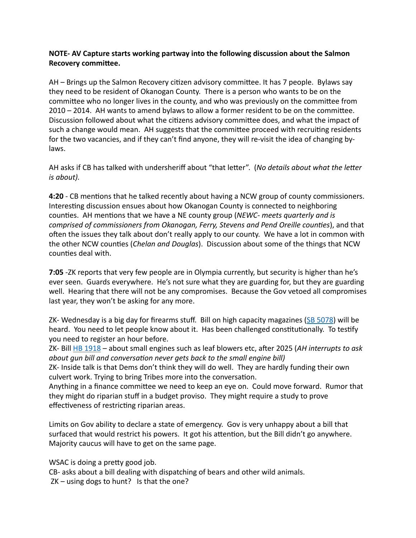## **NOTE- AV Capture starts working partway into the following discussion about the Salmon Recovery committee.**

AH – Brings up the Salmon Recovery citizen advisory committee. It has 7 people. Bylaws say they need to be resident of Okanogan County. There is a person who wants to be on the committee who no longer lives in the county, and who was previously on the committee from 2010 – 2014. AH wants to amend bylaws to allow a former resident to be on the committee. Discussion followed about what the citizens advisory committee does, and what the impact of such a change would mean. AH suggests that the committee proceed with recruiting residents for the two vacancies, and if they can't find anyone, they will re-visit the idea of changing bylaws. 

AH asks if CB has talked with undersheriff about "that letter". (*No details about what the letter is* about).

**4:20** - CB mentions that he talked recently about having a NCW group of county commissioners. Interesting discussion ensues about how Okanogan County is connected to neighboring counties. AH mentions that we have a NE county group (*NEWC-* meets quarterly and is *comprised of commissioners from Okanogan, Ferry, Stevens and Pend Oreille counties*), and that often the issues they talk about don't really apply to our county. We have a lot in common with the other NCW counties (*Chelan and Douglas*). Discussion about some of the things that NCW counties deal with.

**7:05** -ZK reports that very few people are in Olympia currently, but security is higher than he's ever seen. Guards everywhere. He's not sure what they are guarding for, but they are guarding well. Hearing that there will not be any compromises. Because the Gov vetoed all compromises last year, they won't be asking for any more.

ZK- Wednesday is a big day for firearms stuff. Bill on high capacity magazines ( $SB$  5078) will be heard. You need to let people know about it. Has been challenged constitutionally. To testify you need to register an hour before.

ZK- Bill HB 1918 – about small engines such as leaf blowers etc, after 2025 (AH interrupts to ask *about qun bill and conversation never gets back to the small engine bill)* 

ZK- Inside talk is that Dems don't think they will do well. They are hardly funding their own culvert work. Trying to bring Tribes more into the conversation.

Anything in a finance committee we need to keep an eye on. Could move forward. Rumor that they might do riparian stuff in a budget proviso. They might require a study to prove effectiveness of restricting riparian areas.

Limits on Gov ability to declare a state of emergency. Gov is very unhappy about a bill that surfaced that would restrict his powers. It got his attention, but the Bill didn't go anywhere. Majority caucus will have to get on the same page.

WSAC is doing a pretty good job.

CB- asks about a bill dealing with dispatching of bears and other wild animals.  $ZK$  – using dogs to hunt? Is that the one?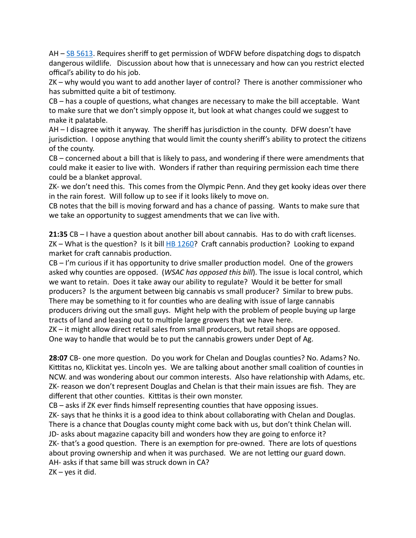$AH - SB 5613$ . Requires sheriff to get permission of WDFW before dispatching dogs to dispatch dangerous wildlife. Discussion about how that is unnecessary and how can you restrict elected offical's ability to do his job.

 $ZK$  – why would you want to add another layer of control? There is another commissioner who has submitted quite a bit of testimony.

 $CB - has a couple of questions, what changes are necessary to make the bill acceptable.$ to make sure that we don't simply oppose it, but look at what changes could we suggest to make it palatable.

 $AH - I$  disagree with it anyway. The sheriff has jurisdiction in the county. DFW doesn't have jurisdiction. I oppose anything that would limit the county sheriff's ability to protect the citizens of the county.

 $CB$  – concerned about a bill that is likely to pass, and wondering if there were amendments that could make it easier to live with. Wonders if rather than requiring permission each time there could be a blanket approval.

ZK- we don't need this. This comes from the Olympic Penn. And they get kooky ideas over there in the rain forest. Will follow up to see if it looks likely to move on.

CB notes that the bill is moving forward and has a chance of passing. Wants to make sure that we take an opportunity to suggest amendments that we can live with.

**21:35** CB – I have a question about another bill about cannabis. Has to do with craft licenses. ZK – What is the question? Is it bill  $H\rightarrow 1260$ ? Craft cannabis production? Looking to expand market for craft cannabis production.

 $CB - I'm$  curious if it has opportunity to drive smaller production model. One of the growers asked why counties are opposed. (*WSAC has opposed this bill*). The issue is local control, which we want to retain. Does it take away our ability to regulate? Would it be better for small producers? Is the argument between big cannabis vs small producer? Similar to brew pubs. There may be something to it for counties who are dealing with issue of large cannabis producers driving out the small guys. Might help with the problem of people buying up large tracts of land and leasing out to multiple large growers that we have here.

 $ZK - it$  might allow direct retail sales from small producers, but retail shops are opposed. One way to handle that would be to put the cannabis growers under Dept of Ag.

**28:07** CB- one more question. Do you work for Chelan and Douglas counties? No. Adams? No. Kittitas no, Klickitat yes. Lincoln yes. We are talking about another small coalition of counties in NCW. and was wondering about our common interests. Also have relationship with Adams, etc. ZK- reason we don't represent Douglas and Chelan is that their main issues are fish. They are different that other counties. Kittitas is their own monster.

 $CB - a$ sks if ZK ever finds himself representing counties that have opposing issues. ZK- says that he thinks it is a good idea to think about collaborating with Chelan and Douglas. There is a chance that Douglas county might come back with us, but don't think Chelan will. JD- asks about magazine capacity bill and wonders how they are going to enforce it? ZK- that's a good question. There is an exemption for pre-owned. There are lots of questions about proving ownership and when it was purchased. We are not letting our guard down. AH- asks if that same bill was struck down in CA?  $ZK - \gamma$ es it did.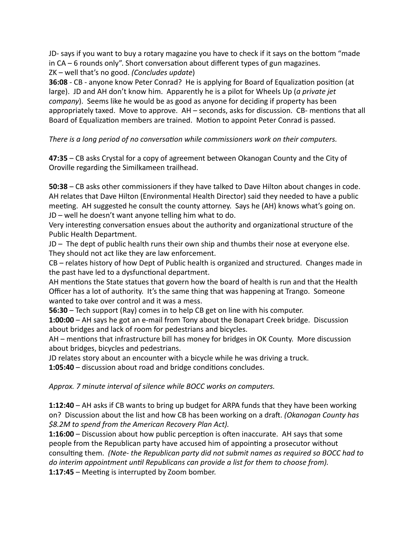JD- says if you want to buy a rotary magazine you have to check if it says on the bottom "made in  $CA - 6$  rounds only". Short conversation about different types of gun magazines. ZK – well that's no good. *(Concludes update)* 

**36:08** - CB - anyone know Peter Conrad? He is applying for Board of Equalization position (at large). JD and AH don't know him. Apparently he is a pilot for Wheels Up (a private jet *company*). Seems like he would be as good as anyone for deciding if property has been appropriately taxed. Move to approve.  $AH -$  seconds, asks for discussion. CB- mentions that all Board of Equalization members are trained. Motion to appoint Peter Conrad is passed.

## There is a long period of no conversation while commissioners work on their computers.

**47:35** – CB asks Crystal for a copy of agreement between Okanogan County and the City of Oroville regarding the Similkameen trailhead.

**50:38** – CB asks other commissioners if they have talked to Dave Hilton about changes in code. AH relates that Dave Hilton (Environmental Health Director) said they needed to have a public meeting. AH suggested he consult the county attorney. Says he (AH) knows what's going on. JD – well he doesn't want anyone telling him what to do.

Very interesting conversation ensues about the authority and organizational structure of the Public Health Department.

 $JD$  – The dept of public health runs their own ship and thumbs their nose at everyone else. They should not act like they are law enforcement.

CB – relates history of how Dept of Public health is organized and structured. Changes made in the past have led to a dysfunctional department.

AH mentions the State statues that govern how the board of health is run and that the Health Officer has a lot of authority. It's the same thing that was happening at Trango. Someone wanted to take over control and it was a mess.

**56:30** – Tech support (Ray) comes in to help CB get on line with his computer.

**1:00:00** – AH says he got an e-mail from Tony about the Bonapart Creek bridge. Discussion about bridges and lack of room for pedestrians and bicycles.

AH – mentions that infrastructure bill has money for bridges in OK County. More discussion about bridges, bicycles and pedestrians.

JD relates story about an encounter with a bicycle while he was driving a truck.

**1:05:40** – discussion about road and bridge conditions concludes.

*Approx.* 7 minute interval of silence while BOCC works on computers.

**1:12:40** – AH asks if CB wants to bring up budget for ARPA funds that they have been working on? Discussion about the list and how CB has been working on a draft. *(Okanogan County has \$8.2M to spend from the American Recovery Plan Act).* 

**1:16:00** – Discussion about how public perception is often inaccurate. AH says that some people from the Republican party have accused him of appointing a prosecutor without consulting them. (Note- the Republican party did not submit names as required so BOCC had to *do* interim appointment until Republicans can provide a list for them to choose from). **1:17:45** – Meeting is interrupted by Zoom bomber.